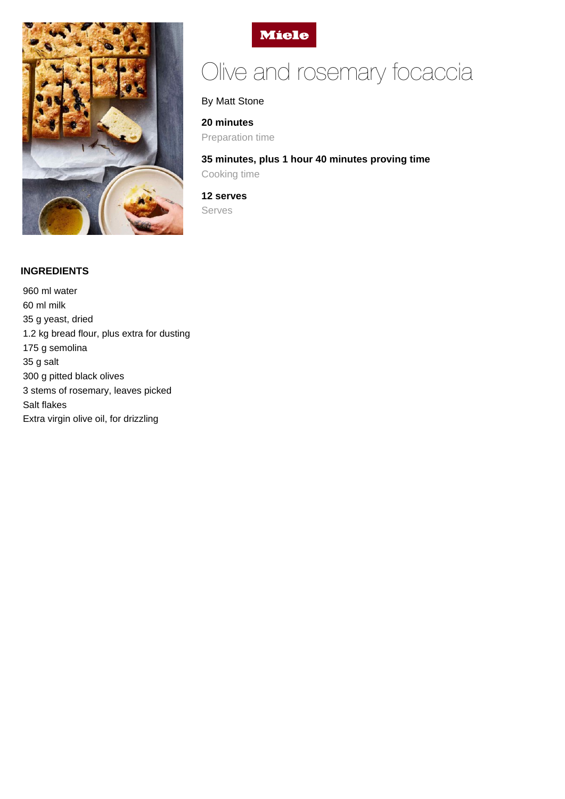



# Olive and rosemary focaccia

By Matt Stone

### **20 minutes**

Preparation time

**35 minutes, plus 1 hour 40 minutes proving time** Cooking time

**12 serves** Serves

# **INGREDIENTS**

960 ml water 60 ml milk 35 g yeast, dried 1.2 kg bread flour, plus extra for dusting 175 g semolina 35 g salt 300 g pitted black olives 3 stems of rosemary, leaves picked Salt flakes Extra virgin olive oil, for drizzling